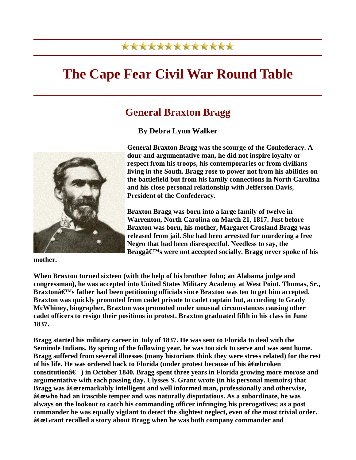## \*\*\*\*\*\*\*\*\*\*\*\*\*

## **The Cape Fear Civil War Round Table**

## **General Braxton Bragg**

**By Debra Lynn Walker** 



**General Braxton Bragg was the scourge of the Confederacy. A dour and argumentative man, he did not inspire loyalty or respect from his troops, his contemporaries or from civilians living in the South. Bragg rose to power not from his abilities on the battlefield but from his family connections in North Carolina and his close personal relationship with Jefferson Davis, President of the Confederacy.** 

**Braxton Bragg was born into a large family of twelve in Warrenton, North Carolina on March 21, 1817. Just before Braxton was born, his mother, Margaret Crosland Bragg was released from jail. She had been arrested for murdering a free Negro that had been disrespectful. Needless to say, the**  Bragga $\mathbf{\in}^{\mathbf{M}}$ s were not accepted socially. Bragg never spoke of his

**mother.** 

**When Braxton turned sixteen (with the help of his brother John; an Alabama judge and congressman), he was accepted into United States Military Academy at West Point. Thomas, Sr.,**  Braxton $\hat{\mathbf{a}} \in \mathbb{M}$ s father had been petitioning officials since Braxton was ten to get him accepted. **Braxton was quickly promoted from cadet private to cadet captain but, according to Grady McWhiney, biographer, Braxton was promoted under unusual circumstances causing other cadet officers to resign their positions in protest. Braxton graduated fifth in his class in June 1837.** 

**Bragg started his military career in July of 1837. He was sent to Florida to deal with the Seminole Indians. By spring of the following year, he was too sick to serve and was sent home. Bragg suffered from several illnesses (many historians think they were stress related) for the rest**  of his life. He was ordered back to Florida (under protest because of his  $\hat{a}$  Exebroken **constitutionâ€) in October 1840. Bragg spent three years in Florida growing more morose and argumentative with each passing day. Ulysses S. Grant wrote (in his personal memoirs) that**  Bragg was  $\hat{a}$ Geremarkably intelligent and well informed man, professionally and otherwise,  $\hat{a}$  Exemported an irascible temper and was naturally disputatious. As a subordinate, he was **always on the lookout to catch his commanding officer infringing his prerogatives; as a post commander he was equally vigilant to detect the slightest neglect, even of the most trivial order. "Grant recalled a story about Bragg when he was both company commander and**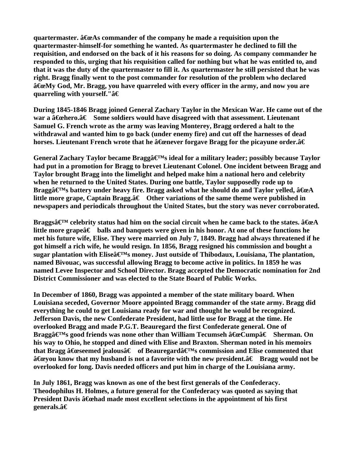**quartermaster.**  $\hat{a}$  **Exelgent commander of the company he made a requisition upon the quartermaster-himself-for something he wanted. As quartermaster he declined to fill the requisition, and endorsed on the back of it his reasons for so doing. As company commander he responded to this, urging that his requisition called for nothing but what he was entitled to, and that it was the duty of the quartermaster to fill it. As quartermaster he still persisted that he was right. Bragg finally went to the post commander for resolution of the problem who declared**   $\hat{\mathbf{a}}$  EeMy God, Mr. Bragg, you have quarreled with every officer in the army, and now you are **quarreling with yourself."**â€

**During 1845-1846 Bragg joined General Zachary Taylor in the Mexican War. He came out of the war a â€ehero.â€** Some soldiers would have disagreed with that assessment. Lieutenant **Samuel G. French wrote as the army was leaving Monterey, Bragg ordered a halt to the withdrawal and wanted him to go back (under enemy fire) and cut off the harnesses of dead**  horses. Lieutenant French wrote that he  $\hat{a}$  Exercity for a stagg for the picayune order. $\hat{a} \in$ 

General Zachary Taylor became Bragga **C**<sup>M</sup>s ideal for a military leader; possibly because Taylor **had put in a promotion for Bragg to brevet Lieutenant Colonel. One incident between Bragg and Taylor brought Bragg into the limelight and helped make him a national hero and celebrity when he returned to the United States. During one battle, Taylor supposedly rode up to**  Braggâ $\boldsymbol{\epsilon}$ <sup>M</sup>s battery under heavy fire. Bragg asked what he should do and Taylor yelled,  $\boldsymbol{\hat{a}}$  <del>C</del>eA little more grape, Captain Bragg.†Other variations of the same theme were published in **newspapers and periodicals throughout the United States, but the story was never corroborated.** 

**Braggs** $\hat{\mathbf{x}}^{\mathbf{M}}$  celebrity status had him on the social circuit when he came back to the states.  $\hat{\mathbf{a}}\hat{\mathbf{c}}$ little more grape $\hat{a} \in \mathbb{R}$  balls and banquets were given in his honor. At one of these functions he **met his future wife, Elise. They were married on July 7, 1849. Bragg had always threatened if he got himself a rich wife, he would resign. In 1856, Bragg resigned his commission and bought a**  sugar plantation with Elise $\hat{\mathbf{a}} \in \mathbb{N}$ s money. Just outside of Thibodaux, Louisiana, The plantation, **named Bivouac, was successful allowing Bragg to become active in politics. In 1859 he was named Levee Inspector and School Director. Bragg accepted the Democratic nomination for 2nd District Commissioner and was elected to the State Board of Public Works.** 

**In December of 1860, Bragg was appointed a member of the state military board. When Louisiana seceded, Governor Moore appointed Bragg commander of the state army. Bragg did everything he could to get Louisiana ready for war and thought he would be recognized. Jefferson Davis, the new Confederate President, had little use for Bragg at the time. He overlooked Bragg and made P.G.T. Beauregard the first Confederate general. One of Braggâ€<sup>M</sup>s good friends was none other than William Tecumseh â <del>C</del>uccump†Sherman. On his way to Ohio, he stopped and dined with Elise and Braxton. Sherman noted in his memoirs**  that Bragg  $\hat{a}$  Exempted that  $\hat{a} \in \hat{a}$  of Beauregard $\hat{a} \in M$ s commission and Elise commented that  $\hat{a}$   $\hat{f}$  are know that my husband is not a favorite with the new president. $\hat{a} \in B$  Bragg would not be **overlooked for long. Davis needed officers and put him in charge of the Louisiana army.** 

**In July 1861, Bragg was known as one of the best first generals of the Confederacy. Theodophilus H. Holmes, a future general for the Confederacy was quoted as saying that President Davis â** Gehad made most excellent selections in the appointment of his first generals**.**â€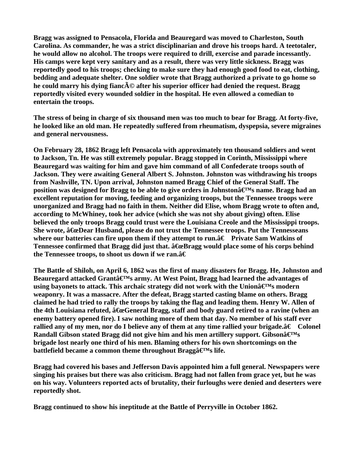**Bragg was assigned to Pensacola, Florida and Beauregard was moved to Charleston, South Carolina. As commander, he was a strict disciplinarian and drove his troops hard. A teetotaler, he would allow no alcohol. The troops were required to drill, exercise and parade incessantly. His camps were kept very sanitary and as a result, there was very little sickness. Bragg was reportedly good to his troops; checking to make sure they had enough good food to eat, clothing, bedding and adequate shelter. One soldier wrote that Bragg authorized a private to go home so**  he could marry his dying fianc**AO** after his superior officer had denied the request. Bragg **reportedly visited every wounded soldier in the hospital. He even allowed a comedian to entertain the troops.** 

**The stress of being in charge of six thousand men was too much to bear for Bragg. At forty-five, he looked like an old man. He repeatedly suffered from rheumatism, dyspepsia, severe migraines and general nervousness.** 

**On February 28, 1862 Bragg left Pensacola with approximately ten thousand soldiers and went to Jackson, Tn. He was still extremely popular. Bragg stopped in Corinth, Mississippi where Beauregard was waiting for him and gave him command of all Confederate troops south of Jackson. They were awaiting General Albert S. Johnston. Johnston was withdrawing his troops from Nashville, TN. Upon arrival, Johnston named Bragg Chief of the General Staff. The**  position was designed for Bragg to be able to give orders in Johnstonâ€<sup>M</sup>s name. Bragg had an **excellent reputation for moving, feeding and organizing troops, but the Tennessee troops were unorganized and Bragg had no faith in them. Neither did Elise, whom Bragg wrote to often and, according to McWhiney, took her advice (which she was not shy about giving) often. Elise believed the only troops Bragg could trust were the Louisiana Creole and the Mississippi troops. She wrote,**  $\hat{a}$  **GeDear Husband, please do not trust the Tennessee troops. Put the Tennesseans** where our batteries can fire upon them if they attempt to run. $\hat{a}\in\text{Private Sam Watkins of }$ Tennessee confirmed that Bragg did just that.  $\hat{a}$  ExeBragg would place some of his corps behind the Tennessee troops, to shoot us down if we ran. $\hat{a} \in$ 

**The Battle of Shiloh, on April 6, 1862 was the first of many disasters for Bragg. He, Johnston and**  Beauregard attacked Grantâ€<sup>M</sup>s army. At West Point, Bragg had learned the advantages of using bayonets to attack. This archaic strategy did not work with the Union $\mathbf{\hat{a}} \in \mathbb{N}$ s modern **weaponry. It was a massacre. After the defeat, Bragg started casting blame on others. Bragg claimed he had tried to rally the troops by taking the flag and leading them. Henry W. Allen of**  the 4th Louisiana refuted,  $\hat{a}$ GeGeneral Bragg, staff and body guard retired to a ravine (when an **enemy battery opened fire). I saw nothing more of them that day. No member of his staff ever**  rallied any of my men, nor do I believe any of them at any time rallied your brigade.†Colonel Randall Gibson stated Bragg did not give him and his men artillery support. Gibsonâ€<sup>M</sup>s **brigade lost nearly one third of his men. Blaming others for his own shortcomings on the**  battlefield became a common theme throughout Bragga<sup> $\boldsymbol{\in}$ M<sub>s</sub> life.</sup>

**Bragg had covered his bases and Jefferson Davis appointed him a full general. Newspapers were singing his praises but there was also criticism. Bragg had not fallen from grace yet, but he was on his way. Volunteers reported acts of brutality, their furloughs were denied and deserters were reportedly shot.** 

**Bragg continued to show his ineptitude at the Battle of Perryville in October 1862.**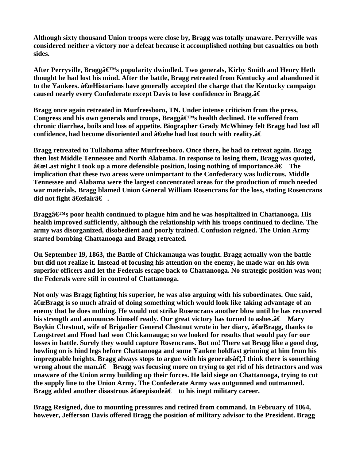**Although sixty thousand Union troops were close by, Bragg was totally unaware. Perryville was considered neither a victory nor a defeat because it accomplished nothing but casualties on both sides.** 

After Perryville, Braggâ $\boldsymbol{\in}^{\text{M}}$ s popularity dwindled. Two generals, Kirby Smith and Henry Heth **thought he had lost his mind. After the battle, Bragg retreated from Kentucky and abandoned it**  to the Yankees.  $\hat{a}$  ExeHistorians have generally accepted the charge that the Kentucky campaign **caused nearly every Confederate except Davis to lose confidence in Bragg.†**

**Bragg once again retreated in Murfreesboro, TN. Under intense criticism from the press,**  Congress and his own generals and troops, Bragga<sup> $\mathbf{F}^{\text{M}}$ s health declined. He suffered from</sup> **chronic diarrhea, boils and loss of appetite. Biographer Grady McWhiney felt Bragg had lost all**  confidence, had become disoriented and â€ehe had lost touch with reality.â€

**Bragg retreated to Tullahoma after Murfreesboro. Once there, he had to retreat again. Bragg then lost Middle Tennessee and North Alabama. In response to losing them, Bragg was quoted,**   $\hat{a}$  $\hat{c}$  **Example 1** took up a more defensible position, losing nothing of importance. $\hat{a} \in$  The **implication that these two areas were unimportant to the Confederacy was ludicrous. Middle Tennessee and Alabama were the largest concentrated areas for the production of much needed war materials. Bragg blamed Union General William Rosencrans for the loss, stating Rosencrans**  did not fight  $\hat{a}$  $\epsilon$  fair $\hat{a}$  $\epsilon$  .

Bragga  $\mathbf{F}^{\mathcal{M}}$ s poor health continued to plague him and he was hospitalized in Chattanooga. His **health improved sufficiently, although the relationship with his troops continued to decline. The army was disorganized, disobedient and poorly trained. Confusion reigned. The Union Army started bombing Chattanooga and Bragg retreated.** 

**On September 19, 1863, the Battle of Chickamauga was fought. Bragg actually won the battle but did not realize it. Instead of focusing his attention on the enemy, he made war on his own superior officers and let the Federals escape back to Chattanooga. No strategic position was won; the Federals were still in control of Chattanooga.** 

**Not only was Bragg fighting his superior, he was also arguing with his subordinates. One said,**   $\hat{a}$  GeBragg is so much afraid of doing something which would look like taking advantage of an **enemy that he does nothing. He would not strike Rosencrans another blow until he has recovered**  his strength and announces himself ready. Our great victory has turned to ashes. $\hat{a}\epsilon$  Mary Boykin Chestnut, wife of Brigadier General Chestnut wrote in her diary,  $\hat{a}$  ExeBragg, thanks to **Longstreet and Hood had won Chickamauga; so we looked for results that would pay for our losses in battle. Surely they would capture Rosencrans. But no! There sat Bragg like a good dog, howling on is hind legs before Chattanooga and some Yankee holdfast grinning at him from his impregnable heights. Bragg always stops to argue with his generals a€. I think there is something** wrong about the man. $\hat{a}\epsilon$  Bragg was focusing more on trying to get rid of his detractors and was **unaware of the Union army building up their forces. He laid siege on Chattanooga, trying to cut the supply line to the Union Army. The Confederate Army was outgunned and outmanned. Bragg added another disastrous**  $\hat{a}$  **Geopisode** $\hat{a} \in \mathcal{A}$  **to his inept military career.** 

**Bragg Resigned, due to mounting pressures and retired from command. In February of 1864, however, Jefferson Davis offered Bragg the position of military advisor to the President. Bragg**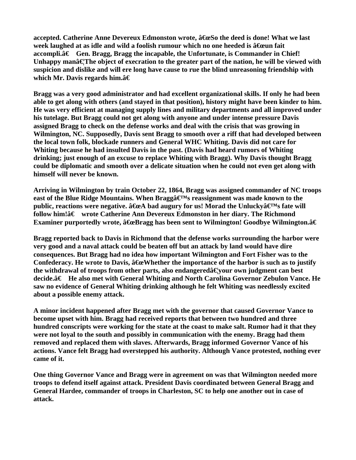**accepted. Catherine Anne Devereux Edmonston wrote,**  $\hat{a}$  **GeSo the deed is done! What we last week laughed at as idle and wild a foolish rumour which no one heeded is â Geun fait accompli.â€** Gen. Bragg, Bragg the incapable, the Unfortunate, is Commander in Chief! Unhappy mana<sup> $\epsilon$ </sup>The object of execration to the greater part of the nation, he will be viewed with **suspicion and dislike and will ere long have cause to rue the blind unreasoning friendship with which Mr. Davis regards him.â€** 

**Bragg was a very good administrator and had excellent organizational skills. If only he had been able to get along with others (and stayed in that position), history might have been kinder to him. He was very efficient at managing supply lines and military departments and all improved under his tutelage. But Bragg could not get along with anyone and under intense pressure Davis assigned Bragg to check on the defense works and deal with the crisis that was growing in Wilmington, NC. Supposedly, Davis sent Bragg to smooth over a riff that had developed between the local town folk, blockade runners and General WHC Whiting. Davis did not care for Whiting because he had insulted Davis in the past. (Davis had heard rumors of Whiting drinking; just enough of an excuse to replace Whiting with Bragg). Why Davis thought Bragg could be diplomatic and smooth over a delicate situation when he could not even get along with himself will never be known.** 

**Arriving in Wilmington by train October 22, 1864, Bragg was assigned commander of NC troops**  east of the Blue Ridge Mountains. When Bragga<sup> $\mathbf{E}^{\text{M}}$ s reassignment was made known to the</sup> public, reactions were negative.  $\hat{a}$  the bad augury for us! Morad the Unlucky $\hat{a} \in M$ s fate will follow him!†wrote Catherine Ann Devereux Edmonston in her diary. The Richmond **Examiner purportedly wrote, â €eBragg has been sent to Wilmington! Goodbye Wilmington.â €** 

**Bragg reported back to Davis in Richmond that the defense works surrounding the harbor were very good and a naval attack could be beaten off but an attack by land would have dire consequences. But Bragg had no idea how important Wilmington and Fort Fisher was to the**  Confederacy. He wrote to Davis,  $\hat{a}$  Exe Whether the importance of the harbor is such as to justify the withdrawal of troops from other parts, also endangereda Gyour own judgment can best decide.†He also met with General Whiting and North Carolina Governor Zebulon Vance. He **saw no evidence of General Whiting drinking although he felt Whiting was needlessly excited about a possible enemy attack.** 

**A minor incident happened after Bragg met with the governor that caused Governor Vance to become upset with him. Bragg had received reports that between two hundred and three hundred conscripts were working for the state at the coast to make salt. Rumor had it that they were not loyal to the south and possibly in communication with the enemy. Bragg had them removed and replaced them with slaves. Afterwards, Bragg informed Governor Vance of his actions. Vance felt Bragg had overstepped his authority. Although Vance protested, nothing ever came of it.** 

**One thing Governor Vance and Bragg were in agreement on was that Wilmington needed more troops to defend itself against attack. President Davis coordinated between General Bragg and General Hardee, commander of troops in Charleston, SC to help one another out in case of attack.**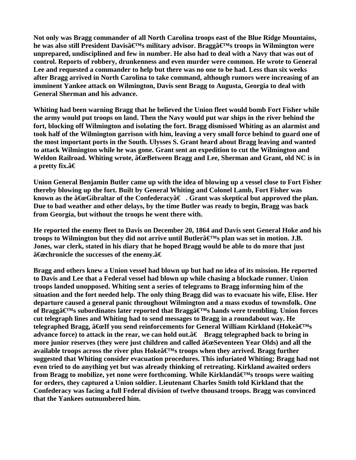**Not only was Bragg commander of all North Carolina troops east of the Blue Ridge Mountains,**  he was also still President Davisâ€<sup>M</sup>s military advisor. Braggâ€<sup>M</sup>s troops in Wilmington were **unprepared, undisciplined and few in number. He also had to deal with a Navy that was out of control. Reports of robbery, drunkenness and even murder were common. He wrote to General Lee and requested a commander to help but there was no one to be had. Less than six weeks after Bragg arrived in North Carolina to take command, although rumors were increasing of an imminent Yankee attack on Wilmington, Davis sent Bragg to Augusta, Georgia to deal with General Sherman and his advance.** 

**Whiting had been warning Bragg that he believed the Union fleet would bomb Fort Fisher while the army would put troops on land. Then the Navy would put war ships in the river behind the fort, blocking off Wilmington and isolating the fort. Bragg dismissed Whiting as an alarmist and took half of the Wilmington garrison with him, leaving a very small force behind to guard one of the most important ports in the South. Ulysses S. Grant heard about Bragg leaving and wanted to attack Wilmington while he was gone. Grant sent an expedition to cut the Wilmington and Weldon Railroad. Whiting wrote,**  $\hat{a}$  **GeBetween Bragg and Lee, Sherman and Grant, old NC is in a** pretty fix.â€

**Union General Benjamin Butler came up with the idea of blowing up a vessel close to Fort Fisher thereby blowing up the fort. Built by General Whiting and Colonel Lamb, Fort Fisher was**  known as the "Gibraltar of the Confederacyâ€. Grant was skeptical but approved the plan. **Due to bad weather and other delays, by the time Butler was ready to begin, Bragg was back from Georgia, but without the troops he went there with.** 

**He reported the enemy fleet to Davis on December 20, 1864 and Davis sent General Hoke and his**  troops to Wilmington but they did not arrive until Butler $\hat{\mathbf{a}} \in \mathbb{M}$ s plan was set in motion. J.B. **Jones, war clerk, stated in his diary that he hoped Bragg would be able to do more that just**  â<del>€</del> chronicle the successes of the enemy.â€

**Bragg and others knew a Union vessel had blown up but had no idea of its mission. He reported to Davis and Lee that a Federal vessel had blown up while chasing a blockade runner. Union troops landed unopposed. Whiting sent a series of telegrams to Bragg informing him of the situation and the fort needed help. The only thing Bragg did was to evacuate his wife, Elise. Her departure caused a general panic throughout Wilmington and a mass exodus of townsfolk. One**  of Braggâ€<sup>M</sup>s subordinates later reported that Braggâ€<sup>M</sup>s hands were trembling. Union forces **cut telegraph lines and Whiting had to send messages to Bragg in a roundabout way. He**  telegraphed Bragg,  $\hat{a}$  GeIf you send reinforcements for General William Kirkland (Hoke $\hat{a} \in M_S$ **advance force) to attack in the rear, we can hold out.**  $\hat{a} \in \text{Bragg}$  **telegraphed back to bring in** more junior reserves (they were just children and called  $\hat{a}$  ExeSeventeen Year Olds) and all the available troops across the river plus  $Hoke\hat{a} \in Ms$  troops when they arrived. Bragg further **suggested that Whiting consider evacuation procedures. This infuriated Whiting; Bragg had not even tried to do anything yet but was already thinking of retreating. Kirkland awaited orders**  from Bragg to mobilize, yet none were forthcoming. While Kirklandâ€<sup>M</sup>s troops were waiting **for orders, they captured a Union soldier. Lieutenant Charles Smith told Kirkland that the Confederacy was facing a full Federal division of twelve thousand troops. Bragg was convinced that the Yankees outnumbered him.**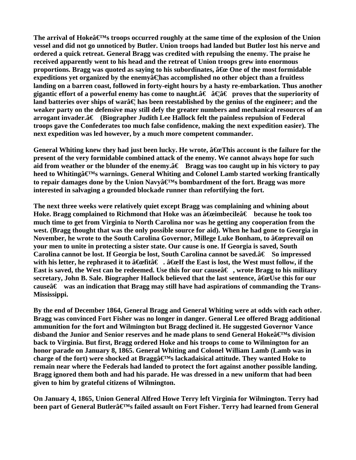The arrival of Hoke $\hat{\mathbf{a}} \in \mathbb{N}$  troops occurred roughly at the same time of the explosion of the Union **vessel and did not go unnoticed by Butler. Union troops had landed but Butler lost his nerve and ordered a quick retreat. General Bragg was credited with repulsing the enemy. The praise he received apparently went to his head and the retreat of Union troops grew into enormous proportions. Bragg was quoted as saying to his subordinates,**  $\hat{a}$  **& One of the most formidable expeditions vet organized by the enemy at the accomplished no other object than a fruitless landing on a barren coast, followed in forty-eight hours by a hasty re-embarkation. Thus another**  gigantic effort of a powerful enemy has come to naught.†â€â€ proves that the superiority of land batteries over ships of wara<sup> $\epsilon$ </sup> has been reestablished by the genius of the engineer; and the **weaker party on the defensive may still defy the greater numbers and mechanical resources of an arrogant invader.†(Biographer Judith Lee Hallock felt the painless repulsion of Federal troops gave the Confederates too much false confidence, making the next expedition easier). The next expedition was led however, by a much more competent commander.** 

General Whiting knew they had just been lucky. He wrote,  $\hat{a}$  ExeThis account is the failure for the **present of the very formidable combined attack of the enemy. We cannot always hope for such**  aid from weather or the blunder of the enemy. $\hat{a}\epsilon$  Bragg was too caught up in his victory to pay heed to Whiting  $\hat{a} \in M$ s warnings. General Whiting and Colonel Lamb started working frantically to repair damages done by the Union Navy $\hat{a} \in M$ s bombardment of the fort. Bragg was more **interested in salvaging a grounded blockade runner than refortifying the fort.** 

**The next three weeks were relatively quiet except Bragg was complaining and whining about**  Hoke. Bragg complained to Richmond that Hoke was an â<del>€</del>eimbecile†because he took too **much time to get from Virginia to North Carolina nor was he getting any cooperation from the west. (Bragg thought that was the only possible source for aid). When he had gone to Georgia in November, he wrote to the South Carolina Governor, Millege Luke Bonham, to a Exprevail on your men to unite in protecting a sister state. Our cause is one. If Georgia is saved, South**  Carolina cannot be lost. If Georgia be lost, South Carolina cannot be saved.†So impressed with his letter, he rephrased it to  $\hat{a}$  fields  $\hat{a}$ .  $\hat{a}$  fields the East is lost, the West must follow, if the **East is saved, the West can be redeemed. Use this for our causeâ€, wrote Bragg to his military**  secretary, John B. Sale. Biographer Hallock believed that the last sentence,  $\hat{a}$  Exelves this for our cause $\hat{a} \in \mathbb{R}$  was an indication that Bragg may still have had aspirations of commanding the Trans-**Mississippi.** 

**By the end of December 1864, General Bragg and General Whiting were at odds with each other. Bragg was convinced Fort Fisher was no longer in danger. General Lee offered Bragg additional ammunition for the fort and Wilmington but Bragg declined it. He suggested Governor Vance**  disband the Junior and Senior reserves and he made plans to send General Hokeâ€<sup>M</sup>s division **back to Virginia. But first, Bragg ordered Hoke and his troops to come to Wilmington for an honor parade on January 8, 1865. General Whiting and Colonel William Lamb (Lamb was in**  charge of the fort) were shocked at Bragg $\hat{\mathbf{z}} \in \mathbb{R}^N$ s lackadaisical attitude. They wanted Hoke to **remain near where the Federals had landed to protect the fort against another possible landing. Bragg ignored them both and had his parade. He was dressed in a new uniform that had been given to him by grateful citizens of Wilmington.** 

**On January 4, 1865, Union General Alfred Howe Terry left Virginia for Wilmington. Terry had**  been part of General Butlerâ€<sup>M</sup>s failed assault on Fort Fisher. Terry had learned from General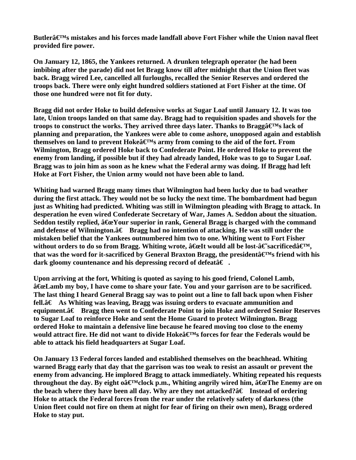Butler $\hat{\mathbf{a}} \in \mathbb{M}$ s mistakes and his forces made landfall above Fort Fisher while the Union naval fleet **provided fire power.** 

**On January 12, 1865, the Yankees returned. A drunken telegraph operator (he had been imbibing after the parade) did not let Bragg know till after midnight that the Union fleet was back. Bragg wired Lee, cancelled all furloughs, recalled the Senior Reserves and ordered the troops back. There were only eight hundred soldiers stationed at Fort Fisher at the time. Of those one hundred were not fit for duty.** 

**Bragg did not order Hoke to build defensive works at Sugar Loaf until January 12. It was too late, Union troops landed on that same day. Bragg had to requisition spades and shovels for the**  troops to construct the works. They arrived three days later. Thanks to Bragga<sup> $\mathbf{C}^{\mathrm{M}}$ s lack of</sup> **planning and preparation, the Yankees were able to come ashore, unopposed again and establish**  themselves on land to prevent  $Hoke\mathbf{\hat{a}}\mathbf{\in}^{\mathbf{M}}s$  army from coming to the aid of the fort. From **Wilmington, Bragg ordered Hoke back to Confederate Point. He ordered Hoke to prevent the enemy from landing, if possible but if they had already landed, Hoke was to go to Sugar Loaf. Bragg was to join him as soon as he knew what the Federal army was doing. If Bragg had left Hoke at Fort Fisher, the Union army would not have been able to land.** 

**Whiting had warned Bragg many times that Wilmington had been lucky due to bad weather during the first attack. They would not be so lucky the next time. The bombardment had begun just as Whiting had predicted. Whiting was still in Wilmington pleading with Bragg to attack. In desperation he even wired Confederate Secretary of War, James A. Seddon about the situation.**  Seddon testily replied,  $\hat{a}G$ e Your superior in rank, General Bragg is charged with the command and defense of Wilmington. $\hat{a}\epsilon$  Bragg had no intention of attacking. He was still under the **mistaken belief that the Yankees outnumbered him two to one. Whiting went to Fort Fisher**  without orders to do so from Bragg. Whiting wrote,  $\hat{a}$  *G***eIt would all be lost-** $\hat{a}$  € sacrificed $\hat{a}$  €<sup>M</sup>, that was the word for it-sacrificed by General Braxton Bragg, the president  $\hat{\mathbf{z}} \in \mathbb{R}^{M}$  friend with his **dark gloomy countenance and his depressing record of defeatâ€.** 

**Upon arriving at the fort, Whiting is quoted as saying to his good friend, Colonel Lamb,**   $\hat{a}$ **ExeLamb my boy, I have come to share your fate. You and your garrison are to be sacrificed. The last thing I heard General Bragg say was to point out a line to fall back upon when Fisher**   $fell.\hat{\mathbf{A}} \in \mathbf{A}$ s Whiting was leaving, Bragg was issuing orders to evacuate ammunition and **equipment.†Bragg then went to Confederate Point to join Hoke and ordered Senior Reserves to Sugar Loaf to reinforce Hoke and sent the Home Guard to protect Wilmington. Bragg ordered Hoke to maintain a defensive line because he feared moving too close to the enemy**  would attract fire. He did not want to divide Hokea<sup> $\boldsymbol{\in}$ M<sub>s</sub> forces for fear the Federals would be</sup> **able to attack his field headquarters at Sugar Loaf.** 

**On January 13 Federal forces landed and established themselves on the beachhead. Whiting warned Bragg early that day that the garrison was too weak to resist an assault or prevent the enemy from advancing. He implored Bragg to attack immediately. Whiting repeated his requests**  throughout the day. By eight o $\hat{a} \in M$ clock p.m., Whiting angrily wired him,  $\hat{a} \in T$ he Enemy are on the beach where they have been all day. Why are they not attacked? $\hat{a} \in I$  Instead of ordering **Hoke to attack the Federal forces from the rear under the relatively safety of darkness (the Union fleet could not fire on them at night for fear of firing on their own men), Bragg ordered Hoke to stay put.**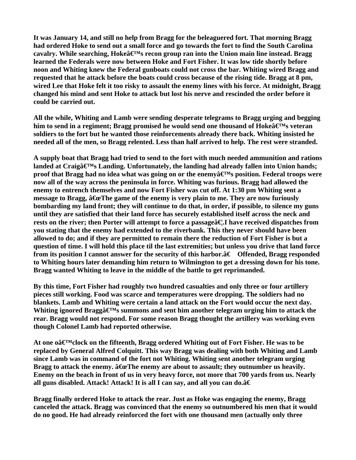**It was January 14, and still no help from Bragg for the beleaguered fort. That morning Bragg had ordered Hoke to send out a small force and go towards the fort to find the South Carolina**  cavalry. While searching, Hokeâ€<sup>M</sup>s recon group ran into the Union main line instead. Bragg **learned the Federals were now between Hoke and Fort Fisher. It was low tide shortly before noon and Whiting knew the Federal gunboats could not cross the bar. Whiting wired Bragg and requested that he attack before the boats could cross because of the rising tide. Bragg at 8 pm, wired Lee that Hoke felt it too risky to assault the enemy lines with his force. At midnight, Bragg changed his mind and sent Hoke to attack but lost his nerve and rescinded the order before it could be carried out.** 

**All the while, Whiting and Lamb were sending desperate telegrams to Bragg urging and begging**  him to send in a regiment; Bragg promised he would send one thousand of Hokeâ€<sup>M</sup>s veteran **soldiers to the fort but he wanted those reinforcements already there back. Whiting insisted he needed all of the men, so Bragg relented. Less than half arrived to help. The rest were stranded.** 

**A supply boat that Bragg had tried to send to the fort with much needed ammunition and rations**  landed at Craigâ€<sup>M</sup>s Landing. Unfortunately, the landing had already fallen into Union hands; **proof that Bragg had no idea what was going on or the enemy**  $\hat{\mathbf{z}} \in \mathbb{M}$ **s position. Federal troops were now all of the way across the peninsula in force. Whiting was furious. Bragg had allowed the enemy to entrench themselves and now Fort Fisher was cut off. At 1:30 pm Whiting sent a**  message to Bragg,  $\hat{a}$  GeThe game of the enemy is very plain to me. They are now furiously **bombarding my land front; they will continue to do that, in order, if possible, to silence my guns until they are satisfied that their land force has securely established itself across the neck and**  rests on the river; then Porter will attempt to force a passage **a** E.I have received dispatches from **you stating that the enemy had extended to the riverbank. This they never should have been allowed to do; and if they are permitted to remain there the reduction of Fort Fisher is but a question of time. I will hold this place til the last extremities; but unless you drive that land force**  from its position I cannot answer for the security of this harbor. $\hat{a}\epsilon$  Offended, Bragg responded **to Whiting hours later demanding him return to Wilmington to get a dressing down for his tone. Bragg wanted Whiting to leave in the middle of the battle to get reprimanded.** 

**By this time, Fort Fisher had roughly two hundred casualties and only three or four artillery pieces still working. Food was scarce and temperatures were dropping. The soldiers had no blankets. Lamb and Whiting were certain a land attack on the Fort would occur the next day.**  Whiting ignored Bragga<sup> $\boldsymbol{\epsilon}$ M<sub>s</sub> summons and sent him another telegram urging him to attack the</sup> **rear. Bragg would not respond. For some reason Bragg thought the artillery was working even though Colonel Lamb had reported otherwise.** 

At one oa **E**<sup>M</sup>clock on the fifteenth, Bragg ordered Whiting out of Fort Fisher. He was to be **replaced by General Alfred Colquitt. This way Bragg was dealing with both Whiting and Lamb since Lamb was in command of the fort not Whiting. Whiting sent another telegram urging**  Bragg to attack the enemy.  $\hat{a}$  GeThe enemy are about to assault; they outnumber us heavily. **Enemy on the beach in front of us in very heavy force, not more that 700 yards from us. Nearly**  all guns disabled. Attack! Attack! It is all I can say, and all you can do.â€

**Bragg finally ordered Hoke to attack the rear. Just as Hoke was engaging the enemy, Bragg canceled the attack. Bragg was convinced that the enemy so outnumbered his men that it would do no good. He had already reinforced the fort with one thousand men (actually only three**